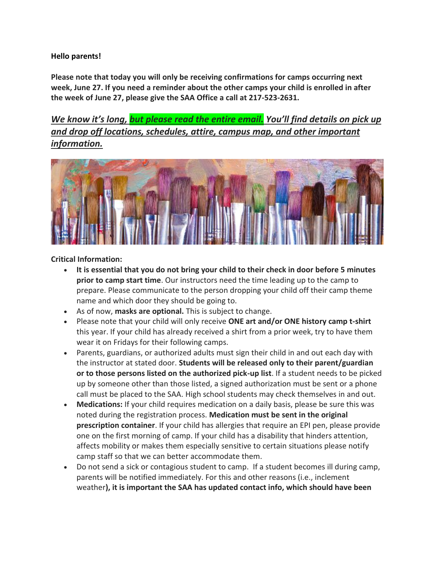## **Hello parents!**

**Please note that today you will only be receiving confirmations for camps occurring next week, June 27. If you need a reminder about the other camps your child is enrolled in after the week of June 27, please give the SAA Office a call at 217-523-2631.**

*We know it's long, but please read the entire email. You'll find details on pick up and drop off locations, schedules, attire, campus map, and other important information.*



## **Critical Information:**

- **It is essential that you do not bring your child to their check in door before 5 minutes prior to camp start time**. Our instructors need the time leading up to the camp to prepare. Please communicate to the person dropping your child off their camp theme name and which door they should be going to.
- As of now, **masks are optional.** This is subject to change.
- Please note that your child will only receive **ONE art and/or ONE history camp t-shirt** this year. If your child has already received a shirt from a prior week, try to have them wear it on Fridays for their following camps.
- Parents, guardians, or authorized adults must sign their child in and out each day with the instructor at stated door. **Students will be released only to their parent/guardian or to those persons listed on the authorized pick-up list**. If a student needs to be picked up by someone other than those listed, a signed authorization must be sent or a phone call must be placed to the SAA. High school students may check themselves in and out.
- **Medications:** If your child requires medication on a daily basis, please be sure this was noted during the registration process. **Medication must be sent in the original prescription container**. If your child has allergies that require an EPI pen, please provide one on the first morning of camp. If your child has a disability that hinders attention, affects mobility or makes them especially sensitive to certain situations please notify camp staff so that we can better accommodate them.
- Do not send a sick or contagious student to camp. If a student becomes ill during camp, parents will be notified immediately. For this and other reasons (i.e., inclement weather**), it is important the SAA has updated contact info, which should have been**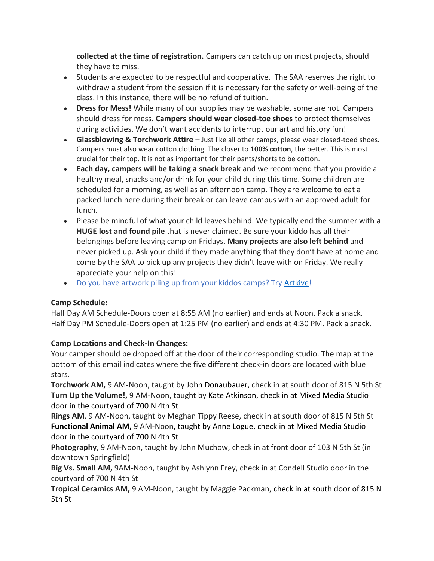**collected at the time of registration.** Campers can catch up on most projects, should they have to miss.

- Students are expected to be respectful and cooperative. The SAA reserves the right to withdraw a student from the session if it is necessary for the safety or well-being of the class. In this instance, there will be no refund of tuition.
- **Dress for Mess!** While many of our supplies may be washable, some are not. Campers should dress for mess. **Campers should wear closed-toe shoes** to protect themselves during activities. We don't want accidents to interrupt our art and history fun!
- **Glassblowing & Torchwork Attire –** Just like all other camps, please wear closed-toed shoes. Campers must also wear cotton clothing. The closer to **100% cotton**, the better. This is most crucial for their top. It is not as important for their pants/shorts to be cotton.
- **Each day, campers will be taking a snack break** and we recommend that you provide a healthy meal, snacks and/or drink for your child during this time. Some children are scheduled for a morning, as well as an afternoon camp. They are welcome to eat a packed lunch here during their break or can leave campus with an approved adult for lunch.
- Please be mindful of what your child leaves behind. We typically end the summer with **a HUGE lost and found pile** that is never claimed. Be sure your kiddo has all their belongings before leaving camp on Fridays. **Many projects are also left behind** and never picked up. Ask your child if they made anything that they don't have at home and come by the SAA to pick up any projects they didn't leave with on Friday. We really appreciate your help on this!
- Do you have artwork piling up from your kiddos camps? Try **Artkive!**

## **Camp Schedule:**

Half Day AM Schedule-Doors open at 8:55 AM (no earlier) and ends at Noon. Pack a snack. Half Day PM Schedule-Doors open at 1:25 PM (no earlier) and ends at 4:30 PM. Pack a snack.

## **Camp Locations and Check-In Changes:**

Your camper should be dropped off at the door of their corresponding studio. The map at the bottom of this email indicates where the five different check-in doors are located with blue stars.

**Torchwork AM,** 9 AM-Noon, taught by John Donaubauer, check in at south door of 815 N 5th St **Turn Up the Volume!,** 9 AM-Noon, taught by Kate Atkinson, check in at Mixed Media Studio door in the courtyard of 700 N 4th St

**Rings AM**, 9 AM-Noon, taught by Meghan Tippy Reese, check in at south door of 815 N 5th St **Functional Animal AM,** 9 AM-Noon, taught by Anne Logue, check in at Mixed Media Studio door in the courtyard of 700 N 4th St

**Photography**, 9 AM-Noon, taught by John Muchow, check in at front door of 103 N 5th St (in downtown Springfield)

**Big Vs. Small AM,** 9AM-Noon, taught by Ashlynn Frey, check in at Condell Studio door in the courtyard of 700 N 4th St

**Tropical Ceramics AM,** 9 AM-Noon, taught by Maggie Packman, check in at south door of 815 N 5th St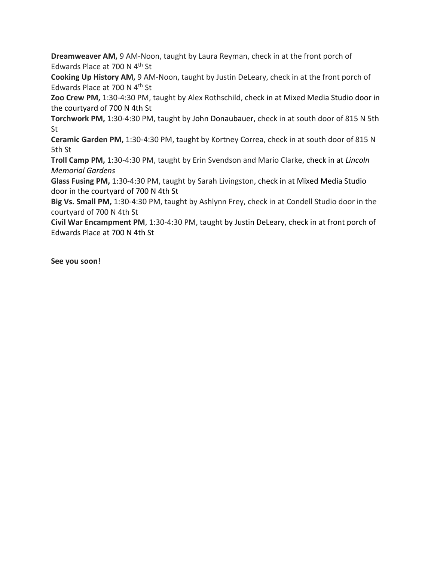**Dreamweaver AM,** 9 AM-Noon, taught by Laura Reyman, check in at the front porch of Edwards Place at 700 N 4th St

**Cooking Up History AM,** 9 AM-Noon, taught by Justin DeLeary, check in at the front porch of Edwards Place at 700 N 4<sup>th</sup> St

**Zoo Crew PM,** 1:30-4:30 PM, taught by Alex Rothschild, check in at Mixed Media Studio door in the courtyard of 700 N 4th St

**Torchwork PM,** 1:30-4:30 PM, taught by John Donaubauer, check in at south door of 815 N 5th St

**Ceramic Garden PM,** 1:30-4:30 PM, taught by Kortney Correa, check in at south door of 815 N 5th St

**Troll Camp PM,** 1:30-4:30 PM, taught by Erin Svendson and Mario Clarke, check in at *Lincoln Memorial Gardens*

**Glass Fusing PM,** 1:30-4:30 PM, taught by Sarah Livingston, check in at Mixed Media Studio door in the courtyard of 700 N 4th St

**Big Vs. Small PM,** 1:30-4:30 PM, taught by Ashlynn Frey, check in at Condell Studio door in the courtyard of 700 N 4th St

**Civil War Encampment PM**, 1:30-4:30 PM, taught by Justin DeLeary, check in at front porch of Edwards Place at 700 N 4th St

**See you soon!**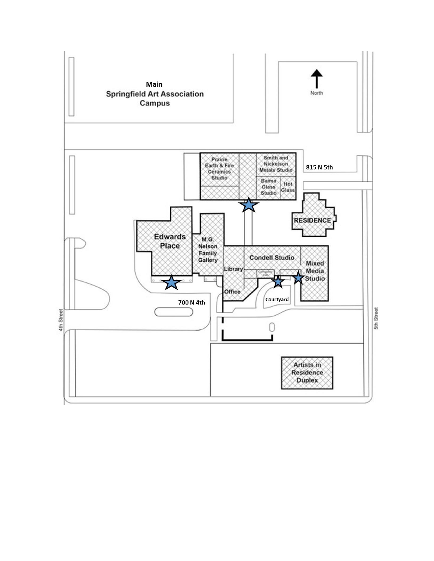